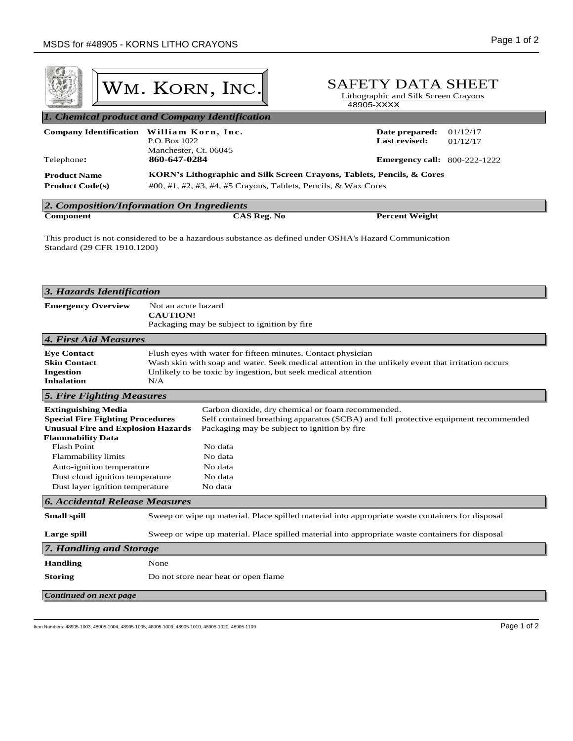|                                                                                                                                                |                                                                                                                                                                                                                                            | WM. KORN, INC.                                                                                                                                                                           | 48905-XXXX | <b>SAFETY DATA SHEET</b><br>Lithographic and Silk Screen Crayons |                      |  |  |  |
|------------------------------------------------------------------------------------------------------------------------------------------------|--------------------------------------------------------------------------------------------------------------------------------------------------------------------------------------------------------------------------------------------|------------------------------------------------------------------------------------------------------------------------------------------------------------------------------------------|------------|------------------------------------------------------------------|----------------------|--|--|--|
| 1. Chemical product and Company Identification                                                                                                 |                                                                                                                                                                                                                                            |                                                                                                                                                                                          |            |                                                                  |                      |  |  |  |
| Company Identification William Korn, Inc.                                                                                                      | P.O. Box 1022                                                                                                                                                                                                                              |                                                                                                                                                                                          |            | Date prepared:<br><b>Last revised:</b>                           | 01/12/17<br>01/12/17 |  |  |  |
| Telephone:                                                                                                                                     | Manchester, Ct. 06045<br>860-647-0284                                                                                                                                                                                                      |                                                                                                                                                                                          |            | <b>Emergency call:</b> 800-222-1222                              |                      |  |  |  |
| <b>Product Name</b>                                                                                                                            | KORN's Lithographic and Silk Screen Crayons, Tablets, Pencils, & Cores                                                                                                                                                                     |                                                                                                                                                                                          |            |                                                                  |                      |  |  |  |
| <b>Product Code(s)</b>                                                                                                                         | #00, #1, #2, #3, #4, #5 Crayons, Tablets, Pencils, & Wax Cores                                                                                                                                                                             |                                                                                                                                                                                          |            |                                                                  |                      |  |  |  |
| 2. Composition/Information On Ingredients                                                                                                      |                                                                                                                                                                                                                                            |                                                                                                                                                                                          |            |                                                                  |                      |  |  |  |
| Component                                                                                                                                      |                                                                                                                                                                                                                                            | <b>CAS Reg. No</b>                                                                                                                                                                       |            | <b>Percent Weight</b>                                            |                      |  |  |  |
| This product is not considered to be a hazardous substance as defined under OSHA's Hazard Communication<br>Standard (29 CFR 1910.1200)         |                                                                                                                                                                                                                                            |                                                                                                                                                                                          |            |                                                                  |                      |  |  |  |
| 3. Hazards Identification                                                                                                                      |                                                                                                                                                                                                                                            |                                                                                                                                                                                          |            |                                                                  |                      |  |  |  |
| <b>Emergency Overview</b>                                                                                                                      | Not an acute hazard<br><b>CAUTION!</b><br>Packaging may be subject to ignition by fire                                                                                                                                                     |                                                                                                                                                                                          |            |                                                                  |                      |  |  |  |
| <b>4. First Aid Measures</b>                                                                                                                   |                                                                                                                                                                                                                                            |                                                                                                                                                                                          |            |                                                                  |                      |  |  |  |
| <b>Eye Contact</b><br><b>Skin Contact</b><br><b>Ingestion</b><br><b>Inhalation</b>                                                             | Flush eyes with water for fifteen minutes. Contact physician<br>Wash skin with soap and water. Seek medical attention in the unlikely event that irritation occurs<br>Unlikely to be toxic by ingestion, but seek medical attention<br>N/A |                                                                                                                                                                                          |            |                                                                  |                      |  |  |  |
| <b>5. Fire Fighting Measures</b>                                                                                                               |                                                                                                                                                                                                                                            |                                                                                                                                                                                          |            |                                                                  |                      |  |  |  |
| <b>Extinguishing Media</b><br><b>Special Fire Fighting Procedures</b><br><b>Unusual Fire and Explosion Hazards</b><br><b>Flammability Data</b> |                                                                                                                                                                                                                                            | Carbon dioxide, dry chemical or foam recommended.<br>Self contained breathing apparatus (SCBA) and full protective equipment recommended<br>Packaging may be subject to ignition by fire |            |                                                                  |                      |  |  |  |
| <b>Flash Point</b>                                                                                                                             |                                                                                                                                                                                                                                            | No data                                                                                                                                                                                  |            |                                                                  |                      |  |  |  |
| <b>Flammability limits</b>                                                                                                                     |                                                                                                                                                                                                                                            | No data                                                                                                                                                                                  |            |                                                                  |                      |  |  |  |
| Auto-ignition temperature                                                                                                                      |                                                                                                                                                                                                                                            | No data                                                                                                                                                                                  |            |                                                                  |                      |  |  |  |
| Dust cloud ignition temperature                                                                                                                |                                                                                                                                                                                                                                            | No data<br>No data                                                                                                                                                                       |            |                                                                  |                      |  |  |  |
| Dust layer ignition temperature                                                                                                                |                                                                                                                                                                                                                                            |                                                                                                                                                                                          |            |                                                                  |                      |  |  |  |
| <b>6. Accidental Release Measures</b>                                                                                                          |                                                                                                                                                                                                                                            |                                                                                                                                                                                          |            |                                                                  |                      |  |  |  |
| <b>Small spill</b>                                                                                                                             | Sweep or wipe up material. Place spilled material into appropriate waste containers for disposal                                                                                                                                           |                                                                                                                                                                                          |            |                                                                  |                      |  |  |  |
| Large spill                                                                                                                                    | Sweep or wipe up material. Place spilled material into appropriate waste containers for disposal                                                                                                                                           |                                                                                                                                                                                          |            |                                                                  |                      |  |  |  |
| 7. Handling and Storage                                                                                                                        |                                                                                                                                                                                                                                            |                                                                                                                                                                                          |            |                                                                  |                      |  |  |  |
| <b>Handling</b>                                                                                                                                | None                                                                                                                                                                                                                                       |                                                                                                                                                                                          |            |                                                                  |                      |  |  |  |
| <b>Storing</b>                                                                                                                                 | Do not store near heat or open flame                                                                                                                                                                                                       |                                                                                                                                                                                          |            |                                                                  |                      |  |  |  |
| Continued on next page                                                                                                                         |                                                                                                                                                                                                                                            |                                                                                                                                                                                          |            |                                                                  |                      |  |  |  |

Item Numbers: 48905-1003, 48905-1004, 48905-1005, 48905-1009, 48905-1010, 48905-1020, 48905-1109 Page 1 of 2